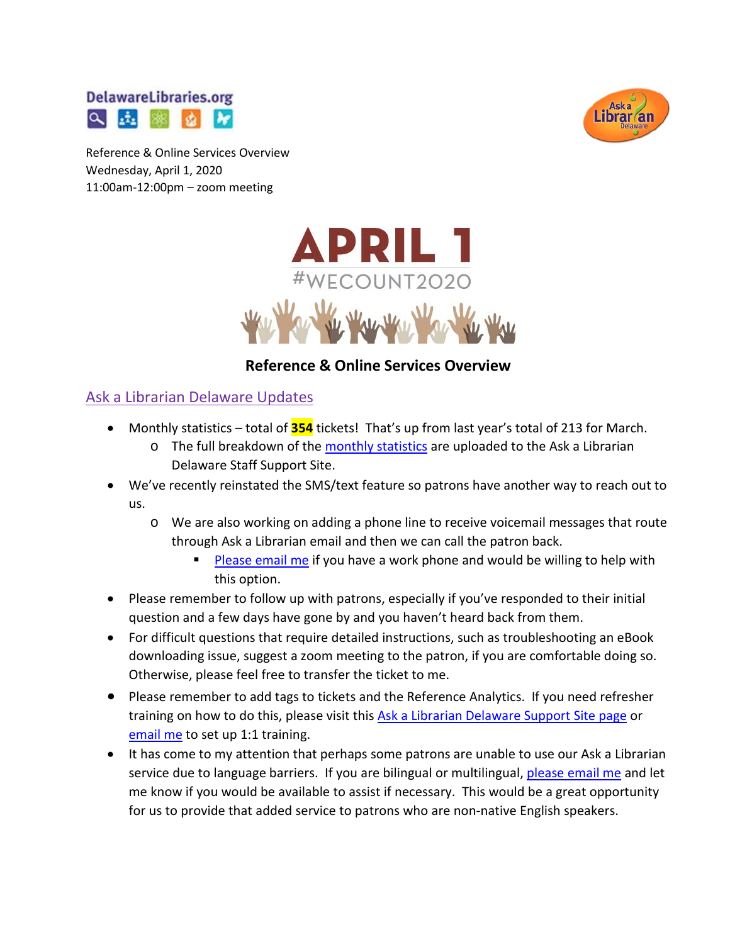



Reference & Online Services Overview Wednesday, April 1, 2020 11:00am-12:00pm – zoom meeting



#### **Reference & Online Services Overview**

#### Ask a Librarian Delaware Updates

- Monthly statistics total of **354** tickets! That's up from last year's total of 213 for March.
	- o The full breakdown of the [monthly statistics](https://aalstaff.lib.de.us/home/reports/fy20-monthly-reports/) are uploaded to the Ask a Librarian Delaware Staff Support Site.
- We've recently reinstated the SMS/text feature so patrons have another way to reach out to us.
	- o We are also working on adding a phone line to receive voicemail messages that route through Ask a Librarian email and then we can call the patron back.
		- [Please email me](mailto:missy.williams@lib.de.us) if you have a work phone and would be willing to help with this option.
- Please remember to follow up with patrons, especially if you've responded to their initial question and a few days have gone by and you haven't heard back from them.
- For difficult questions that require detailed instructions, such as troubleshooting an eBook downloading issue, suggest a zoom meeting to the patron, if you are comfortable doing so. Otherwise, please feel free to transfer the ticket to me.
- Please remember to add tags to tickets and the Reference Analytics. If you need refresher training on how to do this, please visit thi[s Ask a Librarian Delaware Support Site page](https://aalstaff.lib.de.us/all-meetings-trainings/training-tutorials/) or [email me](mailto:missy.williams@lib.de.us) to set up 1:1 training.
- It has come to my attention that perhaps some patrons are unable to use our Ask a Librarian service due to language barriers. If you are bilingual or multilingual, [please email me](mailto:missy.williams@lib.de.us) and let me know if you would be available to assist if necessary. This would be a great opportunity for us to provide that added service to patrons who are non-native English speakers.